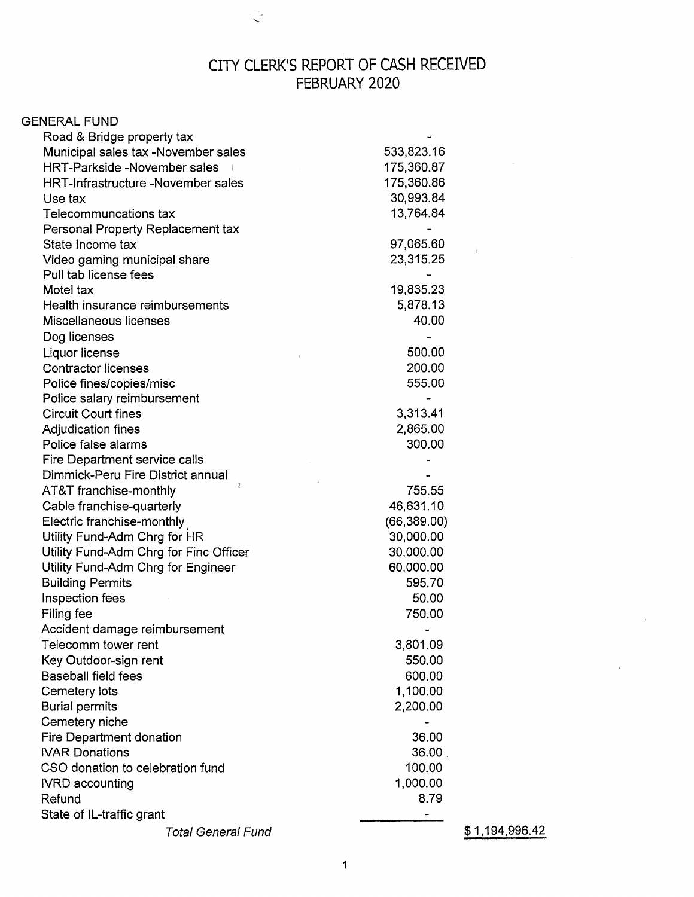## CITY CLERK'S REPORT OF CASH RECEIVED FEBRUARY 2020

 $\hat{\zeta}$ 

| <b>GENERAL FUND</b>                    |              |                |
|----------------------------------------|--------------|----------------|
| Road & Bridge property tax             |              |                |
| Municipal sales tax -November sales    | 533,823.16   |                |
| <b>HRT-Parkside -November sales</b>    | 175,360.87   |                |
| HRT-Infrastructure -November sales     | 175,360.86   |                |
| Use tax                                | 30,993.84    |                |
| Telecommuncations tax                  | 13,764.84    |                |
| Personal Property Replacement tax      |              |                |
| State Income tax                       | 97,065.60    |                |
| Video gaming municipal share           | 23,315.25    |                |
| Pull tab license fees                  |              |                |
| Motel tax                              | 19,835.23    |                |
| Health insurance reimbursements        | 5,878.13     |                |
| Miscellaneous licenses                 | 40.00        |                |
| Dog licenses                           |              |                |
| Liquor license                         | 500.00       |                |
| <b>Contractor licenses</b>             | 200.00       |                |
| Police fines/copies/misc               | 555.00       |                |
| Police salary reimbursement            |              |                |
| <b>Circuit Court fines</b>             | 3,313.41     |                |
| Adjudication fines                     | 2,865.00     |                |
| Police false alarms                    | 300.00       |                |
| Fire Department service calls          |              |                |
| Dimmick-Peru Fire District annual      |              |                |
| AT&T franchise-monthly                 | 755.55       |                |
| Cable franchise-quarterly              | 46,631.10    |                |
| Electric franchise-monthly             | (66, 389.00) |                |
| Utility Fund-Adm Chrg for HR           | 30,000.00    |                |
| Utility Fund-Adm Chrg for Finc Officer | 30,000.00    |                |
| Utility Fund-Adm Chrg for Engineer     | 60,000.00    |                |
| <b>Building Permits</b>                | 595.70       |                |
| Inspection fees                        | 50.00        |                |
| Filing fee                             | 750.00       |                |
| Accident damage reimbursement          |              |                |
| Telecomm tower rent                    | 3,801.09     |                |
| Key Outdoor-sign rent                  | 550.00       |                |
| <b>Baseball field fees</b>             | 600.00       |                |
| Cemetery lots                          | 1,100.00     |                |
| <b>Burial permits</b>                  | 2,200.00     |                |
| Cemetery niche                         |              |                |
| Fire Department donation               | 36.00        |                |
| <b>IVAR Donations</b>                  | 36.00.       |                |
| CSO donation to celebration fund       | 100.00       |                |
| <b>IVRD</b> accounting                 | 1,000.00     |                |
| Refund                                 | 8.79         |                |
| State of IL-traffic grant              |              |                |
| <b>Total General Fund</b>              |              | \$1,194,996.42 |

 $\sim$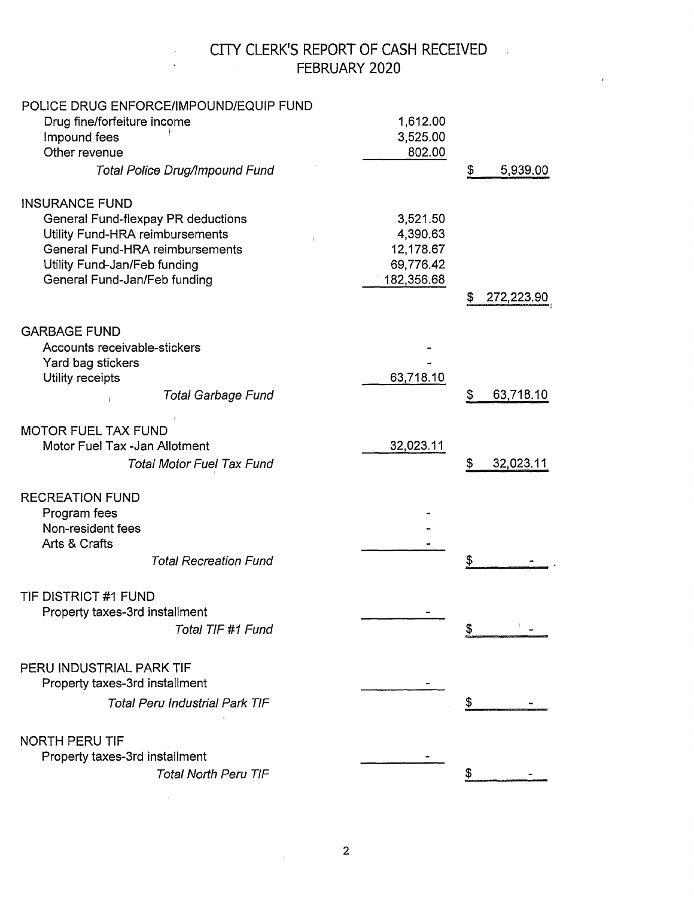## CITY CLERK'S REPORT OF CASH RECEIVED FEBRUARY 2020

 $\hat{r}$ 

| POLICE DRUG ENFORCE/IMPOUND/EQUIP FUND |            |                  |
|----------------------------------------|------------|------------------|
| Drug fine/forfeiture income            | 1,612.00   |                  |
| Impound fees                           | 3,525.00   |                  |
| Other revenue                          | 802.00     |                  |
| <b>Total Police Drug/Impound Fund</b>  |            | 5,939.00<br>S    |
| <b>INSURANCE FUND</b>                  |            |                  |
| General Fund-flexpay PR deductions     | 3,521.50   |                  |
| Utility Fund-HRA reimbursements        | 4,390.63   |                  |
| <b>General Fund-HRA reimbursements</b> | 12,178.67  |                  |
| Utility Fund-Jan/Feb funding           | 69,776.42  |                  |
| General Fund-Jan/Feb funding           | 182,356.68 |                  |
|                                        |            | 272,223.90<br>\$ |
|                                        |            |                  |
| <b>GARBAGE FUND</b>                    |            |                  |
| Accounts receivable-stickers           |            |                  |
| Yard bag stickers                      |            |                  |
| Utility receipts                       | 63,718.10  |                  |
| <b>Total Garbage Fund</b>              |            | 63,718.10<br>\$  |
| <b>MOTOR FUEL TAX FUND</b>             |            |                  |
| Motor Fuel Tax -Jan Allotment          | 32,023.11  |                  |
|                                        |            |                  |
| <b>Total Motor Fuel Tax Fund</b>       |            | 32,023.11<br>\$  |
| <b>RECREATION FUND</b>                 |            |                  |
| Program fees                           |            |                  |
| Non-resident fees                      |            |                  |
| Arts & Crafts                          |            |                  |
| <b>Total Recreation Fund</b>           |            | \$               |
|                                        |            |                  |
| TIF DISTRICT #1 FUND                   |            |                  |
| Property taxes-3rd installment         |            |                  |
| Total TIF #1 Fund                      |            |                  |
|                                        |            |                  |
| PERU INDUSTRIAL PARK TIF               |            |                  |
| Property taxes-3rd installment         |            |                  |
| <b>Total Peru Industrial Park TIF</b>  |            | \$               |
|                                        |            |                  |
| <b>NORTH PERU TIF</b>                  |            |                  |
| Property taxes-3rd installment         |            |                  |
| <b>Total North Peru TIF</b>            |            |                  |
|                                        |            |                  |

 $\sim 10$ 

 $\bar{\chi}$